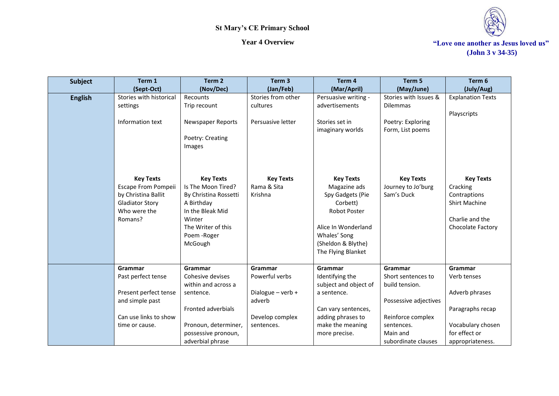

| <b>Subject</b> | Term 1                                                                                                              | Term 2                                                                                                                                                       | Term <sub>3</sub>                          | Term 4                                                                                                                                                                     | Term 5                                               | Term 6                                                                                                       |
|----------------|---------------------------------------------------------------------------------------------------------------------|--------------------------------------------------------------------------------------------------------------------------------------------------------------|--------------------------------------------|----------------------------------------------------------------------------------------------------------------------------------------------------------------------------|------------------------------------------------------|--------------------------------------------------------------------------------------------------------------|
|                | (Sept-Oct)                                                                                                          | (Nov/Dec)                                                                                                                                                    | (Jan/Feb)                                  | (Mar/April)                                                                                                                                                                | (May/June)                                           | (July/Aug)                                                                                                   |
| <b>English</b> | Stories with historical<br>settings                                                                                 | Recounts<br>Trip recount                                                                                                                                     | Stories from other<br>cultures             | Persuasive writing -<br>advertisements                                                                                                                                     | Stories with Issues &<br><b>Dilemmas</b>             | <b>Explanation Texts</b><br>Playscripts                                                                      |
|                | Information text                                                                                                    | Newspaper Reports<br>Poetry: Creating<br>Images                                                                                                              | Persuasive letter                          | Stories set in<br>imaginary worlds                                                                                                                                         | Poetry: Exploring<br>Form, List poems                |                                                                                                              |
|                | <b>Key Texts</b><br>Escape From Pompeii<br>by Christina Ballit<br><b>Gladiator Story</b><br>Who were the<br>Romans? | <b>Key Texts</b><br>Is The Moon Tired?<br>By Christina Rossetti<br>A Birthday<br>In the Bleak Mid<br>Winter<br>The Writer of this<br>Poem - Roger<br>McGough | <b>Key Texts</b><br>Rama & Sita<br>Krishna | <b>Key Texts</b><br>Magazine ads<br>Spy Gadgets (Pie<br>Corbett)<br><b>Robot Poster</b><br>Alice In Wonderland<br>Whales' Song<br>(Sheldon & Blythe)<br>The Flying Blanket | <b>Key Texts</b><br>Journey to Jo'burg<br>Sam's Duck | <b>Key Texts</b><br>Cracking<br>Contraptions<br><b>Shirt Machine</b><br>Charlie and the<br>Chocolate Factory |
|                | Grammar<br>Past perfect tense                                                                                       | Grammar<br>Cohesive devises<br>within and across a                                                                                                           | Grammar<br>Powerful verbs                  | Grammar<br>Identifying the<br>subject and object of                                                                                                                        | Grammar<br>Short sentences to<br>build tension.      | Grammar<br>Verb tenses                                                                                       |
|                | Present perfect tense<br>and simple past                                                                            | sentence.                                                                                                                                                    | Dialogue - verb +<br>adverb                | a sentence.                                                                                                                                                                | Possessive adjectives                                | Adverb phrases                                                                                               |
|                | Can use links to show                                                                                               | <b>Fronted adverbials</b>                                                                                                                                    | Develop complex                            | Can vary sentences,<br>adding phrases to                                                                                                                                   | Reinforce complex                                    | Paragraphs recap                                                                                             |
|                | time or cause.                                                                                                      | Pronoun, determiner,<br>possessive pronoun,<br>adverbial phrase                                                                                              | sentences.                                 | make the meaning<br>more precise.                                                                                                                                          | sentences.<br>Main and<br>subordinate clauses        | Vocabulary chosen<br>for effect or<br>appropriateness.                                                       |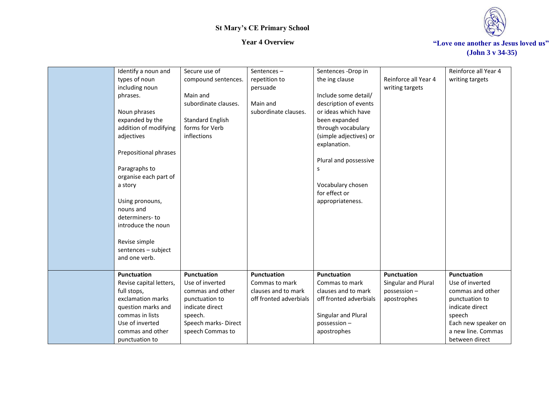

| Identify a noun and     | Secure use of           | Sentences $-$          | Sentences -Drop in     |                      | Reinforce all Year 4 |
|-------------------------|-------------------------|------------------------|------------------------|----------------------|----------------------|
| types of noun           | compound sentences.     | repetition to          | the ing clause         | Reinforce all Year 4 | writing targets      |
| including noun          |                         | persuade               |                        | writing targets      |                      |
| phrases.                | Main and                |                        | Include some detail/   |                      |                      |
|                         | subordinate clauses.    | Main and               | description of events  |                      |                      |
| Noun phrases            |                         | subordinate clauses.   | or ideas which have    |                      |                      |
| expanded by the         | <b>Standard English</b> |                        | been expanded          |                      |                      |
| addition of modifying   | forms for Verb          |                        | through vocabulary     |                      |                      |
| adjectives              | inflections             |                        | (simple adjectives) or |                      |                      |
|                         |                         |                        | explanation.           |                      |                      |
| Prepositional phrases   |                         |                        |                        |                      |                      |
|                         |                         |                        | Plural and possessive  |                      |                      |
| Paragraphs to           |                         |                        | S                      |                      |                      |
| organise each part of   |                         |                        |                        |                      |                      |
| a story                 |                         |                        | Vocabulary chosen      |                      |                      |
|                         |                         |                        | for effect or          |                      |                      |
| Using pronouns,         |                         |                        | appropriateness.       |                      |                      |
| nouns and               |                         |                        |                        |                      |                      |
| determiners-to          |                         |                        |                        |                      |                      |
| introduce the noun      |                         |                        |                        |                      |                      |
|                         |                         |                        |                        |                      |                      |
| Revise simple           |                         |                        |                        |                      |                      |
| sentences - subject     |                         |                        |                        |                      |                      |
| and one verb.           |                         |                        |                        |                      |                      |
| <b>Punctuation</b>      | <b>Punctuation</b>      | <b>Punctuation</b>     | Punctuation            | <b>Punctuation</b>   | Punctuation          |
| Revise capital letters, | Use of inverted         | Commas to mark         | Commas to mark         | Singular and Plural  | Use of inverted      |
| full stops,             | commas and other        | clauses and to mark    | clauses and to mark    | possession-          | commas and other     |
| exclamation marks       | punctuation to          | off fronted adverbials | off fronted adverbials | apostrophes          | punctuation to       |
| question marks and      | indicate direct         |                        |                        |                      | indicate direct      |
| commas in lists         | speech.                 |                        | Singular and Plural    |                      | speech               |
| Use of inverted         | Speech marks-Direct     |                        | possession-            |                      | Each new speaker on  |
| commas and other        | speech Commas to        |                        | apostrophes            |                      | a new line. Commas   |
| punctuation to          |                         |                        |                        |                      | between direct       |
|                         |                         |                        |                        |                      |                      |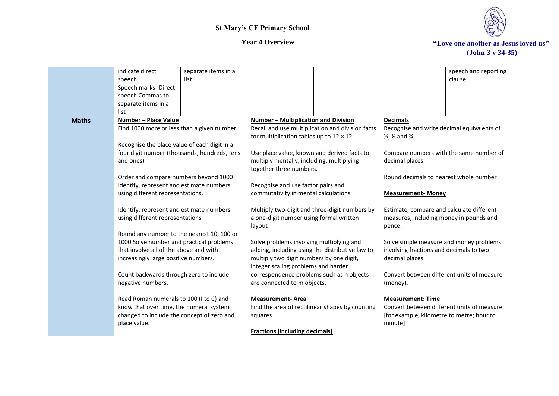

|              | indicate direct<br>speech.                                                        | separate items in a<br>list |                                                  |                                                  |                                                   | speech and reporting<br>clause |
|--------------|-----------------------------------------------------------------------------------|-----------------------------|--------------------------------------------------|--------------------------------------------------|---------------------------------------------------|--------------------------------|
|              | Speech marks-Direct                                                               |                             |                                                  |                                                  |                                                   |                                |
|              | speech Commas to<br>separate items in a                                           |                             |                                                  |                                                  |                                                   |                                |
|              | list                                                                              |                             |                                                  |                                                  |                                                   |                                |
| <b>Maths</b> | Number - Place Value                                                              |                             | Number - Multiplication and Division             |                                                  | <b>Decimals</b>                                   |                                |
|              | Find 1000 more or less than a given number.                                       |                             |                                                  | Recall and use multiplication and division facts | Recognise and write decimal equivalents of        |                                |
|              |                                                                                   |                             | for multiplication tables up to $12 \times 12$ . |                                                  | $\frac{1}{2}$ , $\frac{1}{4}$ and $\frac{3}{4}$ . |                                |
|              | Recognise the place value of each digit in a                                      |                             |                                                  |                                                  |                                                   |                                |
|              | four digit number (thousands, hundreds, tens                                      |                             | Use place value, known and derived facts to      |                                                  | Compare numbers with the same number of           |                                |
|              | and ones)                                                                         |                             | multiply mentally, including: multiplying        |                                                  | decimal places                                    |                                |
|              |                                                                                   |                             | together three numbers.                          |                                                  |                                                   |                                |
|              | Order and compare numbers beyond 1000<br>Identify, represent and estimate numbers |                             | Recognise and use factor pairs and               |                                                  | Round decimals to nearest whole number            |                                |
|              | using different representations.                                                  |                             | commutativity in mental calculations             |                                                  | <b>Measurement-Money</b>                          |                                |
|              |                                                                                   |                             |                                                  |                                                  |                                                   |                                |
|              | Identify, represent and estimate numbers                                          |                             |                                                  | Multiply two-digit and three-digit numbers by    | Estimate, compare and calculate different         |                                |
|              | using different representations                                                   |                             | a one-digit number using formal written          |                                                  | measures, including money in pounds and           |                                |
|              |                                                                                   |                             | layout                                           |                                                  | pence.                                            |                                |
|              | Round any number to the nearest 10, 100 or                                        |                             |                                                  |                                                  |                                                   |                                |
|              | 1000 Solve number and practical problems                                          |                             | Solve problems involving multiplying and         |                                                  | Solve simple measure and money problems           |                                |
|              | that involve all of the above and with                                            |                             | adding, including using the distributive law to  |                                                  | involving fractions and decimals to two           |                                |
|              | increasingly large positive numbers.                                              |                             | multiply two digit numbers by one digit,         |                                                  | decimal places.                                   |                                |
|              |                                                                                   |                             | integer scaling problems and harder              |                                                  |                                                   |                                |
|              | Count backwards through zero to include                                           |                             | correspondence problems such as n objects        |                                                  | Convert between different units of measure        |                                |
|              | negative numbers.                                                                 |                             | are connected to m objects.                      |                                                  | (money).                                          |                                |
|              | Read Roman numerals to 100 (I to C) and                                           |                             | <b>Measurement-Area</b>                          |                                                  | <b>Measurement: Time</b>                          |                                |
|              | know that over time, the numeral system                                           |                             |                                                  | Find the area of rectilinear shapes by counting  | Convert between different units of measure        |                                |
|              | changed to include the concept of zero and                                        |                             | squares.                                         |                                                  | [for example, kilometre to metre; hour to         |                                |
|              | place value.                                                                      |                             |                                                  |                                                  | minute]                                           |                                |
|              |                                                                                   |                             | <b>Fractions (including decimals)</b>            |                                                  |                                                   |                                |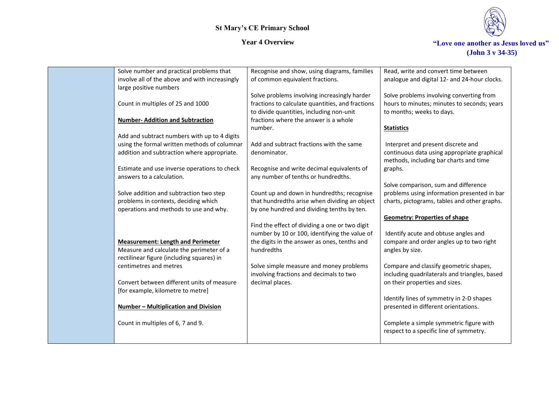

| Solve number and practical problems that       | Recognise and show, using diagrams, families     | Read, write and convert time between          |
|------------------------------------------------|--------------------------------------------------|-----------------------------------------------|
| involve all of the above and with increasingly | of common equivalent fractions.                  | analogue and digital 12- and 24-hour clocks.  |
| large positive numbers                         |                                                  |                                               |
|                                                | Solve problems involving increasingly harder     | Solve problems involving converting from      |
| Count in multiples of 25 and 1000              | fractions to calculate quantities, and fractions | hours to minutes; minutes to seconds; years   |
|                                                | to divide quantities, including non-unit         | to months; weeks to days.                     |
| <b>Number-Addition and Subtraction</b>         | fractions where the answer is a whole            |                                               |
|                                                | number.                                          | <b>Statistics</b>                             |
| Add and subtract numbers with up to 4 digits   |                                                  |                                               |
| using the formal written methods of columnar   | Add and subtract fractions with the same         | Interpret and present discrete and            |
| addition and subtraction where appropriate.    | denominator.                                     | continuous data using appropriate graphical   |
|                                                |                                                  | methods, including bar charts and time        |
| Estimate and use inverse operations to check   | Recognise and write decimal equivalents of       | graphs.                                       |
| answers to a calculation.                      | any number of tenths or hundredths.              |                                               |
|                                                |                                                  | Solve comparison, sum and difference          |
| Solve addition and subtraction two step        | Count up and down in hundredths; recognise       | problems using information presented in bar   |
| problems in contexts, deciding which           | that hundredths arise when dividing an object    | charts, pictograms, tables and other graphs.  |
| operations and methods to use and why.         | by one hundred and dividing tenths by ten.       |                                               |
|                                                |                                                  | <b>Geometry: Properties of shape</b>          |
|                                                | Find the effect of dividing a one or two digit   |                                               |
|                                                | number by 10 or 100, identifying the value of    | Identify acute and obtuse angles and          |
| <b>Measurement: Length and Perimeter</b>       | the digits in the answer as ones, tenths and     | compare and order angles up to two right      |
| Measure and calculate the perimeter of a       | hundredths                                       | angles by size.                               |
| rectilinear figure (including squares) in      |                                                  |                                               |
| centimetres and metres                         | Solve simple measure and money problems          | Compare and classify geometric shapes,        |
|                                                | involving fractions and decimals to two          | including quadrilaterals and triangles, based |
| Convert between different units of measure     | decimal places.                                  | on their properties and sizes.                |
| [for example, kilometre to metre]              |                                                  |                                               |
|                                                |                                                  | Identify lines of symmetry in 2-D shapes      |
| Number - Multiplication and Division           |                                                  | presented in different orientations.          |
|                                                |                                                  |                                               |
| Count in multiples of 6, 7 and 9.              |                                                  | Complete a simple symmetric figure with       |
|                                                |                                                  | respect to a specific line of symmetry.       |
|                                                |                                                  |                                               |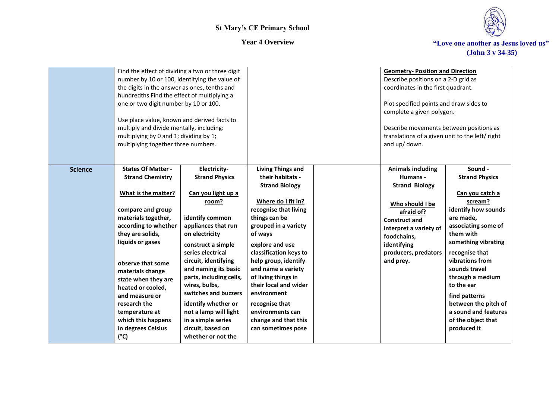



|                | Find the effect of dividing a two or three digit<br>number by 10 or 100, identifying the value of<br>the digits in the answer as ones, tenths and<br>hundredths Find the effect of multiplying a<br>one or two digit number by 10 or 100.<br>Use place value, known and derived facts to<br>multiply and divide mentally, including:<br>multiplying by 0 and 1; dividing by 1;<br>multiplying together three numbers. |                                                                                                                                                                                                                                                                                                                                                                                                                  |                                                                                                                                                                                                                                                                                                                                                                                                                        | <b>Geometry-Position and Direction</b><br>Describe positions on a 2-D grid as<br>coordinates in the first quadrant.<br>Plot specified points and draw sides to<br>complete a given polygon.<br>Describe movements between positions as<br>translations of a given unit to the left/right<br>and up/ down. |                                                                                                                                                                                                                                                                                                                                                             |
|----------------|-----------------------------------------------------------------------------------------------------------------------------------------------------------------------------------------------------------------------------------------------------------------------------------------------------------------------------------------------------------------------------------------------------------------------|------------------------------------------------------------------------------------------------------------------------------------------------------------------------------------------------------------------------------------------------------------------------------------------------------------------------------------------------------------------------------------------------------------------|------------------------------------------------------------------------------------------------------------------------------------------------------------------------------------------------------------------------------------------------------------------------------------------------------------------------------------------------------------------------------------------------------------------------|-----------------------------------------------------------------------------------------------------------------------------------------------------------------------------------------------------------------------------------------------------------------------------------------------------------|-------------------------------------------------------------------------------------------------------------------------------------------------------------------------------------------------------------------------------------------------------------------------------------------------------------------------------------------------------------|
| <b>Science</b> | <b>States Of Matter -</b><br><b>Strand Chemistry</b><br>What is the matter?<br>compare and group<br>materials together,<br>according to whether<br>they are solids,<br>liquids or gases<br>observe that some<br>materials change<br>state when they are<br>heated or cooled,<br>and measure or<br>research the<br>temperature at<br>which this happens<br>in degrees Celsius<br>$(^{\circ}C)$                         | Electricity-<br><b>Strand Physics</b><br>Can you light up a<br>room?<br>identify common<br>appliances that run<br>on electricity<br>construct a simple<br>series electrical<br>circuit, identifying<br>and naming its basic<br>parts, including cells,<br>wires, bulbs,<br>switches and buzzers<br>identify whether or<br>not a lamp will light<br>in a simple series<br>circuit, based on<br>whether or not the | <b>Living Things and</b><br>their habitats -<br><b>Strand Biology</b><br>Where do I fit in?<br>recognise that living<br>things can be<br>grouped in a variety<br>of ways<br>explore and use<br>classification keys to<br>help group, identify<br>and name a variety<br>of living things in<br>their local and wider<br>environment<br>recognise that<br>environments can<br>change and that this<br>can sometimes pose | <b>Animals including</b><br>Humans -<br><b>Strand Biology</b><br>Who should I be<br>afraid of?<br><b>Construct and</b><br>interpret a variety of<br>foodchains,<br>identifying<br>producers, predators<br>and prey.                                                                                       | Sound -<br><b>Strand Physics</b><br>Can you catch a<br>scream?<br>identify how sounds<br>are made,<br>associating some of<br>them with<br>something vibrating<br>recognise that<br>vibrations from<br>sounds travel<br>through a medium<br>to the ear<br>find patterns<br>between the pitch of<br>a sound and features<br>of the object that<br>produced it |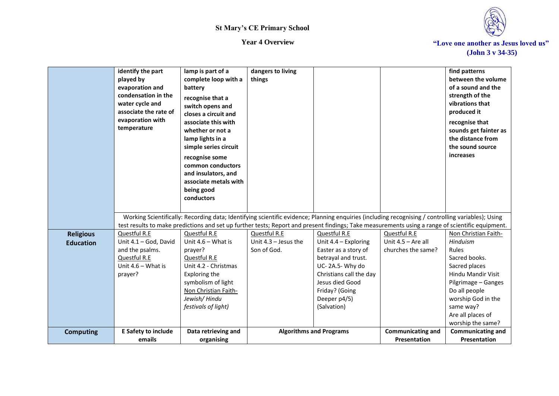



|                                      | identify the part<br>played by<br>evaporation and<br>condensation in the<br>water cycle and<br>associate the rate of<br>evaporation with<br>temperature | lamp is part of a<br>complete loop with a<br>battery<br>recognise that a<br>switch opens and<br>closes a circuit and<br>associate this with<br>whether or not a<br>lamp lights in a<br>simple series circuit<br>recognise some<br>common conductors<br>and insulators, and<br>associate metals with<br>being good<br>conductors | dangers to living<br>things                           |                                                                                                                                                                                                                                                                                                        |                                                            | find patterns<br>between the volume<br>of a sound and the<br>strength of the<br>vibrations that<br>produced it<br>recognise that<br>sounds get fainter as<br>the distance from<br>the sound source<br>increases        |
|--------------------------------------|---------------------------------------------------------------------------------------------------------------------------------------------------------|---------------------------------------------------------------------------------------------------------------------------------------------------------------------------------------------------------------------------------------------------------------------------------------------------------------------------------|-------------------------------------------------------|--------------------------------------------------------------------------------------------------------------------------------------------------------------------------------------------------------------------------------------------------------------------------------------------------------|------------------------------------------------------------|------------------------------------------------------------------------------------------------------------------------------------------------------------------------------------------------------------------------|
|                                      |                                                                                                                                                         |                                                                                                                                                                                                                                                                                                                                 |                                                       | Working Scientifically: Recording data; Identifying scientific evidence; Planning enquiries (including recognising / controlling variables); Using<br>test results to make predictions and set up further tests; Report and present findings; Take measurements using a range of scientific equipment. |                                                            |                                                                                                                                                                                                                        |
| <b>Religious</b><br><b>Education</b> | Questful R.E<br>Unit 4.1 - God, David<br>and the psalms.<br>Questful R.E<br>Unit 4.6 - What is<br>prayer?                                               | Questful R.E<br>Unit $4.6 -$ What is<br>prayer?<br>Questful R.E<br>Unit 4.2 - Christmas<br>Exploring the<br>symbolism of light<br>Non Christian Faith-<br>Jewish/Hindu<br>festivals of light)                                                                                                                                   | Questful R.E<br>Unit $4.3 -$ Jesus the<br>Son of God. | Questful R.E<br>Unit 4.4 - Exploring<br>Easter as a story of<br>betrayal and trust.<br>UC-2A.5-Why do<br>Christians call the day<br>Jesus died Good<br>Friday? (Going<br>Deeper p4/5)<br>(Salvation)                                                                                                   | Questful R.E<br>Unit $4.5 -$ Are all<br>churches the same? | Non Christian Faith-<br>Hinduism<br>Rules<br>Sacred books.<br>Sacred places<br>Hindu Mandir Visit<br>Pilgrimage - Ganges<br>Do all people<br>worship God in the<br>same way?<br>Are all places of<br>worship the same? |
| <b>Computing</b>                     | <b>E Safety to include</b><br>emails                                                                                                                    | Data retrieving and<br>organising                                                                                                                                                                                                                                                                                               |                                                       | <b>Algorithms and Programs</b>                                                                                                                                                                                                                                                                         | <b>Communicating and</b><br><b>Presentation</b>            | <b>Communicating and</b><br>Presentation                                                                                                                                                                               |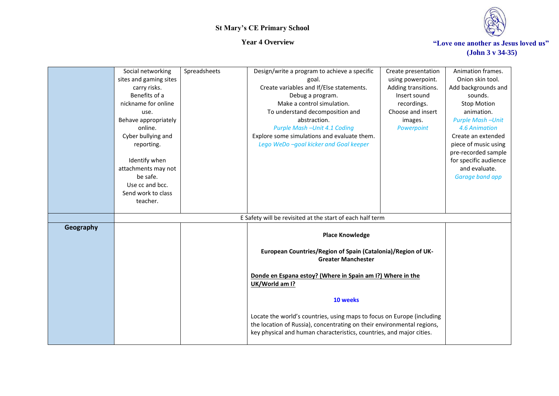

|           | Social networking      | Spreadsheets | Design/write a program to achieve a specific                           | Create presentation                                        | Animation frames.       |
|-----------|------------------------|--------------|------------------------------------------------------------------------|------------------------------------------------------------|-------------------------|
|           | sites and gaming sites |              | goal.                                                                  | using powerpoint.                                          | Onion skin tool.        |
|           | carry risks.           |              | Create variables and If/Else statements.                               | Adding transitions.                                        | Add backgrounds and     |
|           | Benefits of a          |              | Debug a program.                                                       | Insert sound                                               | sounds.                 |
|           | nickname for online    |              | Make a control simulation.                                             | recordings.                                                | <b>Stop Motion</b>      |
|           | use.                   |              | To understand decomposition and                                        | Choose and insert                                          | animation.              |
|           | Behave appropriately   |              | abstraction.                                                           | images.                                                    | <b>Purple Mash-Unit</b> |
|           | online.                |              | Purple Mash -Unit 4.1 Coding                                           | Powerpoint                                                 | 4.6 Animation           |
|           | Cyber bullying and     |              | Explore some simulations and evaluate them.                            |                                                            | Create an extended      |
|           | reporting.             |              | Lego WeDo -goal kicker and Goal keeper                                 |                                                            | piece of music using    |
|           |                        |              |                                                                        |                                                            | pre-recorded sample     |
|           | Identify when          |              |                                                                        |                                                            | for specific audience   |
|           | attachments may not    |              |                                                                        |                                                            | and evaluate.           |
|           | be safe.               |              |                                                                        |                                                            | Garage band app         |
|           | Use cc and bcc.        |              |                                                                        |                                                            |                         |
|           | Send work to class     |              |                                                                        |                                                            |                         |
|           | teacher.               |              |                                                                        |                                                            |                         |
|           |                        |              | E Safety will be revisited at the start of each half term              |                                                            |                         |
| Geography |                        |              |                                                                        |                                                            |                         |
|           |                        |              | <b>Place Knowledge</b>                                                 |                                                            |                         |
|           |                        |              |                                                                        |                                                            |                         |
|           |                        |              | European Countries/Region of Spain (Catalonia)/Region of UK-           |                                                            |                         |
|           |                        |              | <b>Greater Manchester</b>                                              |                                                            |                         |
|           |                        |              |                                                                        |                                                            |                         |
|           |                        |              | UK/World am I?                                                         | Donde en Espana estoy? (Where in Spain am I?) Where in the |                         |
|           |                        |              |                                                                        |                                                            |                         |
|           |                        |              | 10 weeks                                                               |                                                            |                         |
|           |                        |              |                                                                        |                                                            |                         |
|           |                        |              | Locate the world's countries, using maps to focus on Europe (including |                                                            |                         |
|           |                        |              | the location of Russia), concentrating on their environmental regions, |                                                            |                         |
|           |                        |              | key physical and human characteristics, countries, and major cities.   |                                                            |                         |
|           |                        |              |                                                                        |                                                            |                         |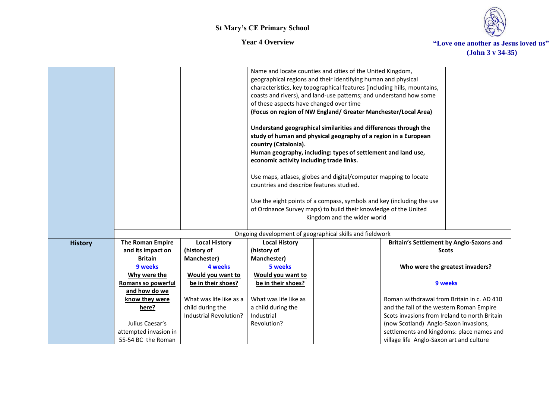

|                |                       |                         | of these aspects have changed over time<br>country (Catalonia).<br>economic activity including trade links.<br>countries and describe features studied. | Name and locate counties and cities of the United Kingdom,<br>geographical regions and their identifying human and physical<br>characteristics, key topographical features (including hills, mountains,<br>coasts and rivers), and land-use patterns; and understand how some<br>(Focus on region of NW England/ Greater Manchester/Local Area)<br>Understand geographical similarities and differences through the<br>study of human and physical geography of a region in a European<br>Human geography, including: types of settlement and land use,<br>Use maps, atlases, globes and digital/computer mapping to locate<br>Use the eight points of a compass, symbols and key (including the use<br>of Ordnance Survey maps) to build their knowledge of the United<br>Kingdom and the wider world |                                               |                                          |
|----------------|-----------------------|-------------------------|---------------------------------------------------------------------------------------------------------------------------------------------------------|--------------------------------------------------------------------------------------------------------------------------------------------------------------------------------------------------------------------------------------------------------------------------------------------------------------------------------------------------------------------------------------------------------------------------------------------------------------------------------------------------------------------------------------------------------------------------------------------------------------------------------------------------------------------------------------------------------------------------------------------------------------------------------------------------------|-----------------------------------------------|------------------------------------------|
|                |                       |                         |                                                                                                                                                         | Ongoing development of geographical skills and fieldwork                                                                                                                                                                                                                                                                                                                                                                                                                                                                                                                                                                                                                                                                                                                                               |                                               |                                          |
| <b>History</b> | The Roman Empire      | <b>Local History</b>    | <b>Local History</b>                                                                                                                                    |                                                                                                                                                                                                                                                                                                                                                                                                                                                                                                                                                                                                                                                                                                                                                                                                        |                                               | Britain's Settlement by Anglo-Saxons and |
|                | and its impact on     | (history of             | (history of                                                                                                                                             |                                                                                                                                                                                                                                                                                                                                                                                                                                                                                                                                                                                                                                                                                                                                                                                                        |                                               | <b>Scots</b>                             |
|                | <b>Britain</b>        | Manchester)             | Manchester)                                                                                                                                             |                                                                                                                                                                                                                                                                                                                                                                                                                                                                                                                                                                                                                                                                                                                                                                                                        |                                               |                                          |
|                | 9 weeks               | 4 weeks                 | 5 weeks                                                                                                                                                 |                                                                                                                                                                                                                                                                                                                                                                                                                                                                                                                                                                                                                                                                                                                                                                                                        |                                               | Who were the greatest invaders?          |
|                | Why were the          | Would you want to       | Would you want to                                                                                                                                       |                                                                                                                                                                                                                                                                                                                                                                                                                                                                                                                                                                                                                                                                                                                                                                                                        |                                               |                                          |
|                | Romans so powerful    | be in their shoes?      | be in their shoes?                                                                                                                                      |                                                                                                                                                                                                                                                                                                                                                                                                                                                                                                                                                                                                                                                                                                                                                                                                        |                                               | 9 weeks                                  |
|                | and how do we         |                         |                                                                                                                                                         |                                                                                                                                                                                                                                                                                                                                                                                                                                                                                                                                                                                                                                                                                                                                                                                                        |                                               |                                          |
|                | know they were        | What was life like as a | What was life like as                                                                                                                                   |                                                                                                                                                                                                                                                                                                                                                                                                                                                                                                                                                                                                                                                                                                                                                                                                        | Roman withdrawal from Britain in c. AD 410    |                                          |
|                | here?                 | child during the        | a child during the                                                                                                                                      |                                                                                                                                                                                                                                                                                                                                                                                                                                                                                                                                                                                                                                                                                                                                                                                                        | and the fall of the western Roman Empire      |                                          |
|                |                       | Industrial Revolution?  | Industrial                                                                                                                                              |                                                                                                                                                                                                                                                                                                                                                                                                                                                                                                                                                                                                                                                                                                                                                                                                        | Scots invasions from Ireland to north Britain |                                          |
|                | Julius Caesar's       |                         | Revolution?                                                                                                                                             |                                                                                                                                                                                                                                                                                                                                                                                                                                                                                                                                                                                                                                                                                                                                                                                                        | (now Scotland) Anglo-Saxon invasions,         |                                          |
|                | attempted invasion in |                         |                                                                                                                                                         |                                                                                                                                                                                                                                                                                                                                                                                                                                                                                                                                                                                                                                                                                                                                                                                                        | settlements and kingdoms: place names and     |                                          |
|                | 55-54 BC the Roman    |                         |                                                                                                                                                         |                                                                                                                                                                                                                                                                                                                                                                                                                                                                                                                                                                                                                                                                                                                                                                                                        | village life Anglo-Saxon art and culture      |                                          |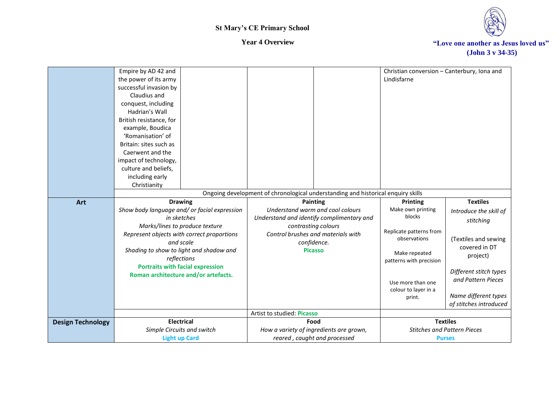

|                          | Empire by AD 42 and                                                          |                                                                                  | Christian conversion - Canterbury, Iona and           |
|--------------------------|------------------------------------------------------------------------------|----------------------------------------------------------------------------------|-------------------------------------------------------|
|                          | the power of its army                                                        |                                                                                  | Lindisfarne                                           |
|                          | successful invasion by                                                       |                                                                                  |                                                       |
|                          | Claudius and                                                                 |                                                                                  |                                                       |
|                          | conquest, including                                                          |                                                                                  |                                                       |
|                          | Hadrian's Wall                                                               |                                                                                  |                                                       |
|                          | British resistance, for                                                      |                                                                                  |                                                       |
|                          | example, Boudica                                                             |                                                                                  |                                                       |
|                          | 'Romanisation' of                                                            |                                                                                  |                                                       |
|                          | Britain: sites such as                                                       |                                                                                  |                                                       |
|                          | Caerwent and the                                                             |                                                                                  |                                                       |
|                          | impact of technology,                                                        |                                                                                  |                                                       |
|                          | culture and beliefs,                                                         |                                                                                  |                                                       |
|                          | including early                                                              |                                                                                  |                                                       |
|                          | Christianity                                                                 |                                                                                  |                                                       |
|                          |                                                                              | Ongoing development of chronological understanding and historical enquiry skills |                                                       |
| Art                      | <b>Drawing</b>                                                               | Painting                                                                         | <b>Textiles</b><br><b>Printing</b>                    |
|                          | Show body language and/ or facial expression<br>in sketches                  | Understand warm and cool colours                                                 | Make own printing<br>Introduce the skill of<br>blocks |
|                          |                                                                              | Understand and identify complimentary and                                        | stitching                                             |
|                          | Marks/lines to produce texture<br>Represent objects with correct proportions | contrasting colours<br>Control brushes and materials with                        | Replicate patterns from                               |
|                          | and scale                                                                    | confidence.                                                                      | observations<br>(Textiles and sewing                  |
|                          | Shading to show to light and shadow and                                      | <b>Picasso</b>                                                                   | covered in DT                                         |
|                          | reflections                                                                  |                                                                                  | Make repeated<br>project)                             |
|                          | <b>Portraits with facial expression</b>                                      |                                                                                  | patterns with precision                               |
|                          | Roman architecture and/or artefacts.                                         |                                                                                  | Different stitch types                                |
|                          |                                                                              |                                                                                  | and Pattern Pieces<br>Use more than one               |
|                          |                                                                              |                                                                                  | colour to layer in a                                  |
|                          |                                                                              |                                                                                  | Name different types<br>print.                        |
|                          |                                                                              |                                                                                  | of stitches introduced                                |
|                          |                                                                              | Artist to studied: Picasso                                                       |                                                       |
| <b>Design Technology</b> | <b>Electrical</b>                                                            | Food                                                                             | <b>Textiles</b>                                       |
|                          | Simple Circuits and switch                                                   | How a variety of ingredients are grown,                                          | <b>Stitches and Pattern Pieces</b>                    |
|                          | <b>Light up Card</b>                                                         | reared, caught and processed                                                     | <b>Purses</b>                                         |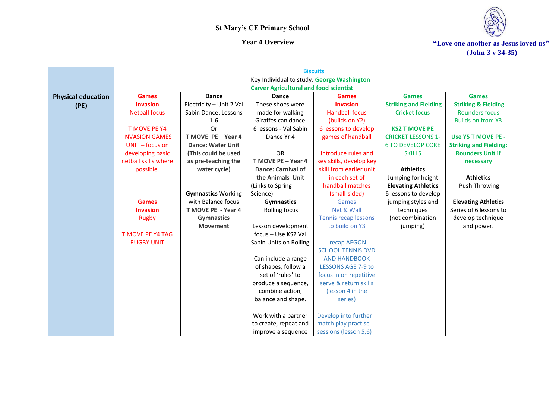

|                           |                         |                           |                                               | <b>Biscuits</b>             |                              |                                |
|---------------------------|-------------------------|---------------------------|-----------------------------------------------|-----------------------------|------------------------------|--------------------------------|
|                           |                         |                           | Key Individual to study: George Washington    |                             |                              |                                |
|                           |                         |                           | <b>Carver Agricultural and food scientist</b> |                             |                              |                                |
| <b>Physical education</b> | <b>Games</b>            | Dance                     | <b>Dance</b>                                  | <b>Games</b>                | <b>Games</b>                 | <b>Games</b>                   |
| (PE)                      | <b>Invasion</b>         | Electricity - Unit 2 Val  | These shoes were                              | <b>Invasion</b>             | <b>Striking and Fielding</b> | <b>Striking &amp; Fielding</b> |
|                           | <b>Netball focus</b>    | Sabin Dance. Lessons      | made for walking                              | <b>Handball focus</b>       | <b>Cricket focus</b>         | <b>Rounders focus</b>          |
|                           |                         | $1 - 6$                   | Giraffes can dance                            | (builds on Y2)              |                              | <b>Builds on from Y3</b>       |
|                           | <b>T MOVE PE Y4</b>     | Or                        | 6 lessons - Val Sabin                         | 6 lessons to develop        | <b>KS2 T MOVE PE</b>         |                                |
|                           | <b>INVASION GAMES</b>   | T MOVE PE - Year 4        | Dance Yr 4                                    | games of handball           | <b>CRICKET LESSONS 1-</b>    | Use Y5 T MOVE PE -             |
|                           | UNIT - focus on         | <b>Dance: Water Unit</b>  |                                               |                             | <b>6 TO DEVELOP CORE</b>     | <b>Striking and Fielding:</b>  |
|                           | developing basic        | (This could be used       | OR                                            | Introduce rules and         | <b>SKILLS</b>                | <b>Rounders Unit if</b>        |
|                           | netball skills where    | as pre-teaching the       | T MOVE PE - Year 4                            | key skills, develop key     |                              | necessary                      |
|                           | possible.               | water cycle)              | <b>Dance: Carnival of</b>                     | skill from earlier unit     | <b>Athletics</b>             |                                |
|                           |                         |                           | the Animals Unit                              | in each set of              | Jumping for height           | <b>Athletics</b>               |
|                           |                         |                           | (Links to Spring                              | handball matches            | <b>Elevating Athletics</b>   | Push Throwing                  |
|                           |                         | <b>Gymnastics Working</b> | Science)                                      | (small-sided)               | 6 lessons to develop         |                                |
|                           | <b>Games</b>            | with Balance focus        | <b>Gymnastics</b>                             | Games                       | jumping styles and           | <b>Elevating Athletics</b>     |
|                           | <b>Invasion</b>         | T MOVE PE - Year 4        | Rolling focus                                 | Net & Wall                  | techniques                   | Series of 6 lessons to         |
|                           | <b>Rugby</b>            | <b>Gymnastics</b>         |                                               | <b>Tennis recap lessons</b> | (not combination             | develop technique              |
|                           |                         | <b>Movement</b>           | Lesson development                            | to build on Y3              | jumping)                     | and power.                     |
|                           | <b>T MOVE PE Y4 TAG</b> |                           | focus - Use KS2 Val                           |                             |                              |                                |
|                           | <b>RUGBY UNIT</b>       |                           | Sabin Units on Rolling                        | -recap AEGON                |                              |                                |
|                           |                         |                           |                                               | <b>SCHOOL TENNIS DVD</b>    |                              |                                |
|                           |                         |                           | Can include a range                           | <b>AND HANDBOOK</b>         |                              |                                |
|                           |                         |                           | of shapes, follow a                           | <b>LESSONS AGE 7-9 to</b>   |                              |                                |
|                           |                         |                           | set of 'rules' to                             | focus in on repetitive      |                              |                                |
|                           |                         |                           | produce a sequence,                           | serve & return skills       |                              |                                |
|                           |                         |                           | combine action,                               | (lesson 4 in the            |                              |                                |
|                           |                         |                           | balance and shape.                            | series)                     |                              |                                |
|                           |                         |                           |                                               |                             |                              |                                |
|                           |                         |                           | Work with a partner                           | Develop into further        |                              |                                |
|                           |                         |                           | to create, repeat and                         | match play practise         |                              |                                |
|                           |                         |                           | improve a sequence                            | sessions (lesson 5,6)       |                              |                                |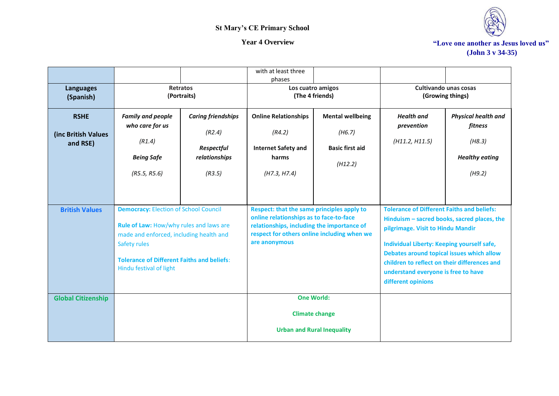

|                                                |                                                                                                                                                                                                                                    |                                                                                     | with at least three                                                                                                                                                                                        |                                                                        |                                                                                                                                                                                                                                                                                                                                               |                                                                                    |
|------------------------------------------------|------------------------------------------------------------------------------------------------------------------------------------------------------------------------------------------------------------------------------------|-------------------------------------------------------------------------------------|------------------------------------------------------------------------------------------------------------------------------------------------------------------------------------------------------------|------------------------------------------------------------------------|-----------------------------------------------------------------------------------------------------------------------------------------------------------------------------------------------------------------------------------------------------------------------------------------------------------------------------------------------|------------------------------------------------------------------------------------|
| <b>Languages</b><br>(Spanish)                  | <b>Retratos</b><br>(Portraits)                                                                                                                                                                                                     |                                                                                     | phases<br>Los cuatro amigos<br>(The 4 friends)                                                                                                                                                             |                                                                        | Cultivando unas cosas<br>(Growing things)                                                                                                                                                                                                                                                                                                     |                                                                                    |
| <b>RSHE</b><br>(inc British Values<br>and RSE) | <b>Family and people</b><br>who care for us<br>(R1.4)<br><b>Being Safe</b><br>(R5.5, R5.6)                                                                                                                                         | <b>Caring friendships</b><br>(R2.4)<br><b>Respectful</b><br>relationships<br>(R3.5) | <b>Online Relationships</b><br>(R4.2)<br><b>Internet Safety and</b><br>harms<br>(H7.3, H7.4)                                                                                                               | <b>Mental wellbeing</b><br>(H6.7)<br><b>Basic first aid</b><br>(H12.2) | <b>Health</b> and<br>prevention<br>(H11.2, H11.5)                                                                                                                                                                                                                                                                                             | <b>Physical health and</b><br>fitness<br>(H8.3)<br><b>Healthy eating</b><br>(H9.2) |
| <b>British Values</b>                          | <b>Democracy: Election of School Council</b><br>Rule of Law: How/why rules and laws are<br>made and enforced, including health and<br>Safety rules<br><b>Tolerance of Different Faiths and beliefs:</b><br>Hindu festival of light |                                                                                     | <b>Respect: that the same principles apply to</b><br>online relationships as to face-to-face<br>relationships, including the importance of<br>respect for others online including when we<br>are anonymous |                                                                        | <b>Tolerance of Different Faiths and beliefs:</b><br>Hinduism - sacred books, sacred places, the<br>pilgrimage. Visit to Hindu Mandir<br>Individual Liberty: Keeping yourself safe,<br>Debates around topical issues which allow<br>children to reflect on their differences and<br>understand everyone is free to have<br>different opinions |                                                                                    |
| <b>Global Citizenship</b>                      |                                                                                                                                                                                                                                    |                                                                                     |                                                                                                                                                                                                            | <b>One World:</b>                                                      |                                                                                                                                                                                                                                                                                                                                               |                                                                                    |
|                                                |                                                                                                                                                                                                                                    |                                                                                     |                                                                                                                                                                                                            | <b>Climate change</b><br><b>Urban and Rural Inequality</b>             |                                                                                                                                                                                                                                                                                                                                               |                                                                                    |